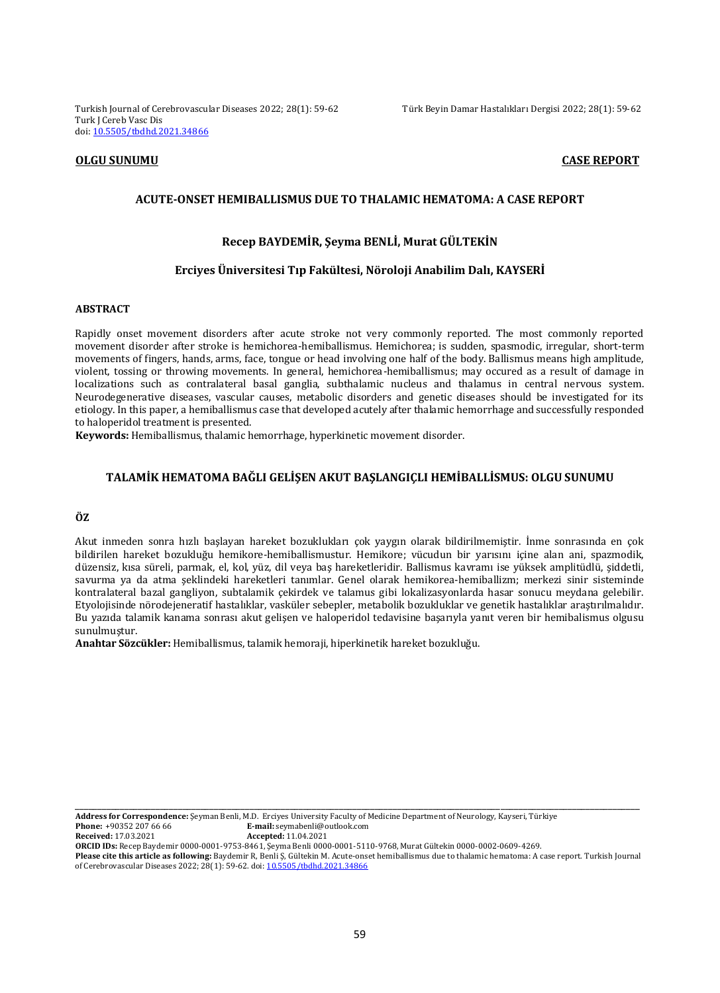Turkish Journal of Cerebrovascular Diseases 2022; 28(1): 59-62 Türk Beyin Damar Hastalıkları Dergisi 2022; 28(1): 59-62 Turk J Cereb Vasc Dis doi: [10.5505/tbdhd.2021.34866](https://dx.doi.org/10.5505/tbdhd.2021.34866)

## **OLGU SUNUMU CASE REPORT**

# **ACUTE-ONSET HEMIBALLISMUS DUE TO THALAMIC HEMATOMA: A CASE REPORT**

# **Recep BAYDEMİR, Şeyma BENLİ, Murat GÜLTEKİN**

# **Erciyes Üniversitesi Tıp Fakültesi, Nöroloji Anabilim Dalı, KAYSERİ**

### **ABSTRACT**

Rapidly onset movement disorders after acute stroke not very commonly reported. The most commonly reported movement disorder after stroke is hemichorea-hemiballismus. Hemichorea; is sudden, spasmodic, irregular, short-term movements of fingers, hands, arms, face, tongue or head involving one half of the body. Ballismus means high amplitude, violent, tossing or throwing movements. In general, hemichorea-hemiballismus; may occured as a result of damage in localizations such as contralateral basal ganglia, subthalamic nucleus and thalamus in central nervous system. Neurodegenerative diseases, vascular causes, metabolic disorders and genetic diseases should be investigated for its etiology. In this paper, a hemiballismus case that developed acutely after thalamic hemorrhage and successfully responded to haloperidol treatment is presented.

**Keywords:** Hemiballismus, thalamic hemorrhage, hyperkinetic movement disorder.

## **TALAMİK HEMATOMA BAĞLI GELİŞEN AKUT BAŞLANGIÇLI HEMİBALLİSMUS: OLGU SUNUMU**

# **ÖZ**

Akut inmeden sonra hızlı başlayan hareket bozuklukları çok yaygın olarak bildirilmemiştir. İnme sonrasında en çok bildirilen hareket bozukluğu hemikore-hemiballismustur. Hemikore; vücudun bir yarısını içine alan ani, spazmodik, düzensiz, kısa süreli, parmak, el, kol, yüz, dil veya baş hareketleridir. Ballismus kavramı ise yüksek amplitüdlü, şiddetli, savurma ya da atma şeklindeki hareketleri tanımlar. Genel olarak hemikorea-hemiballizm; merkezi sinir sisteminde kontralateral bazal gangliyon, subtalamik çekirdek ve talamus gibi lokalizasyonlarda hasar sonucu meydana gelebilir. Etyolojisinde nörodejeneratif hastalıklar, vasküler sebepler, metabolik bozukluklar ve genetik hastalıklar araştırılmalıdır. Bu yazıda talamik kanama sonrası akut gelişen ve haloperidol tedavisine başarıyla yanıt veren bir hemibalismus olgusu sunulmuştur.

**Anahtar Sözcükler:** Hemiballismus, talamik hemoraji, hiperkinetik hareket bozukluğu.

**Address for Correspondence:** Şeyman Benli, M.D. Erciyes University Faculty of Medicine Department of Neurology, Kayseri, Türkiye **Phone:** +90352 207 66 66 **E-mail:** seymabenli@outlook.com

**Received:** 17.03.2021 **Accepted:** 11.04.2021

**ORCID IDs:** Recep Baydemir 0000-0001-9753-8461, Şeyma Benli 0000-0001-5110-9768, Murat Gültekin 0000-0002-0609-4269.

**Please cite this article as following:** Baydemir R, Benli Ş, Gültekin M. Acute-onset hemiballismus due to thalamic hematoma: A case report. Turkish Journal of Cerebrovascular Diseases 2022; 28(1): 59-62. doi[: 10.5505/tbdhd.2021.34866](https://dx.doi.org/10.5505/tbdhd.2021.34866)

\_\_\_\_\_\_\_\_\_\_\_\_\_\_\_\_\_\_\_\_\_\_\_\_\_\_\_\_\_\_\_\_\_\_\_\_\_\_\_\_\_\_\_\_\_\_\_\_\_\_\_\_\_\_\_\_\_\_\_\_\_\_\_\_\_\_\_\_\_\_\_\_\_\_\_\_\_\_\_\_\_\_\_\_\_\_\_\_\_\_\_\_\_\_\_\_\_\_\_\_\_\_\_\_\_\_\_\_\_\_\_\_\_\_\_\_\_\_\_\_\_\_\_\_\_\_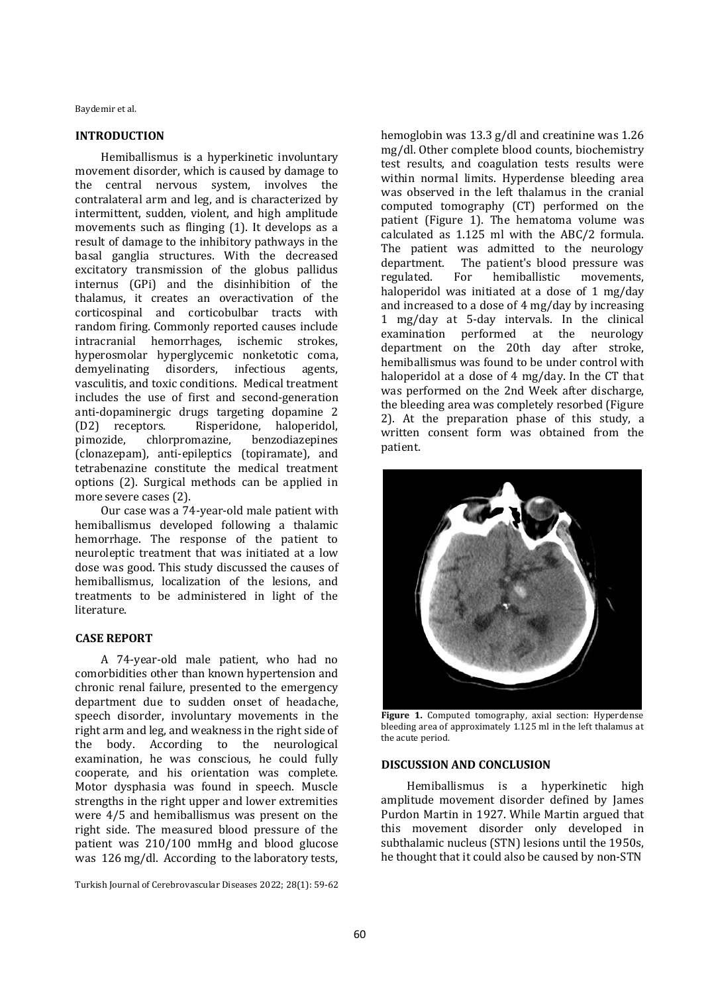Baydemir et al.

# **INTRODUCTION**

Hemiballismus is a hyperkinetic involuntary movement disorder, which is caused by damage to the central nervous system, involves the contralateral arm and leg, and is characterized by intermittent, sudden, violent, and high amplitude movements such as flinging (1). It develops as a result of damage to the inhibitory pathways in the basal ganglia structures. With the decreased excitatory transmission of the globus pallidus internus (GPi) and the disinhibition of the thalamus, it creates an overactivation of the corticospinal and corticobulbar tracts with random firing. Commonly reported causes include intracranial hemorrhages, ischemic strokes, hyperosmolar hyperglycemic nonketotic coma, demyelinating disorders, infectious agents, vasculitis, and toxic conditions. Medical treatment includes the use of first and second-generation anti-dopaminergic drugs targeting dopamine 2 (D2) receptors. Risperidone, haloperidol, pimozide, chlorpromazine, benzodiazepines (clonazepam), anti-epileptics (topiramate), and tetrabenazine constitute the medical treatment options (2). Surgical methods can be applied in more severe cases (2).

Our case was a 74-year-old male patient with hemiballismus developed following a thalamic hemorrhage. The response of the patient to neuroleptic treatment that was initiated at a low dose was good. This study discussed the causes of hemiballismus, localization of the lesions, and treatments to be administered in light of the literature.

# **CASE REPORT**

A 74-year-old male patient, who had no comorbidities other than known hypertension and chronic renal failure, presented to the emergency department due to sudden onset of headache, speech disorder, involuntary movements in the right arm and leg, and weakness in the right side of the body. According to the neurological examination, he was conscious, he could fully cooperate, and his orientation was complete. Motor dysphasia was found in speech. Muscle strengths in the right upper and lower extremities were 4/5 and hemiballismus was present on the right side. The measured blood pressure of the patient was 210/100 mmHg and blood glucose was 126 mg/dl. According to the laboratory tests,

Turkish Journal of Cerebrovascular Diseases 2022; 28(1): 59-62

hemoglobin was 13.3 g/dl and creatinine was 1.26 mg/dl. Other complete blood counts, biochemistry test results, and coagulation tests results were within normal limits. Hyperdense bleeding area was observed in the left thalamus in the cranial computed tomography (CT) performed on the patient (Figure 1). The hematoma volume was calculated as 1.125 ml with the ABC/2 formula. The patient was admitted to the neurology department. The patient's blood pressure was regulated. For hemiballistic movements, haloperidol was initiated at a dose of 1 mg/day and increased to a dose of 4 mg/day by increasing 1 mg/day at 5-day intervals. In the clinical examination performed at the neurology department on the 20th day after stroke, hemiballismus was found to be under control with haloperidol at a dose of 4 mg/day. In the CT that was performed on the 2nd Week after discharge, the bleeding area was completely resorbed (Figure 2). At the preparation phase of this study, a written consent form was obtained from the patient.



**Figure 1.** Computed tomography, axial section: Hyperdense bleeding area of approximately 1.125 ml in the left thalamus at the acute period.

### **DISCUSSION AND CONCLUSION**

Hemiballismus is a hyperkinetic high amplitude movement disorder defined by James Purdon Martin in 1927. While Martin argued that this movement disorder only developed in subthalamic nucleus (STN) lesions until the 1950s, he thought that it could also be caused by non-STN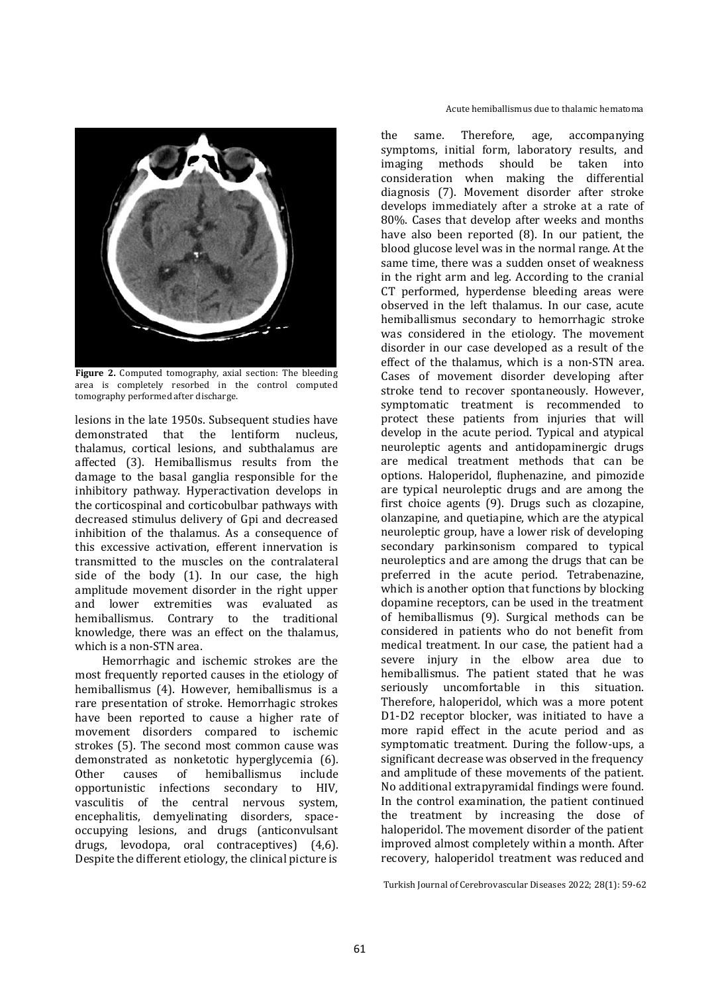

**Figure 2.** Computed tomography, axial section: The bleeding area is completely resorbed in the control computed tomography performed after discharge.

lesions in the late 1950s. Subsequent studies have demonstrated that the lentiform nucleus, thalamus, cortical lesions, and subthalamus are affected (3). Hemiballismus results from the damage to the basal ganglia responsible for the inhibitory pathway. Hyperactivation develops in the corticospinal and corticobulbar pathways with decreased stimulus delivery of Gpi and decreased inhibition of the thalamus. As a consequence of this excessive activation, efferent innervation is transmitted to the muscles on the contralateral side of the body (1). In our case, the high amplitude movement disorder in the right upper and lower extremities was evaluated as hemiballismus. Contrary to the traditional knowledge, there was an effect on the thalamus, which is a non-STN area.

Hemorrhagic and ischemic strokes are the most frequently reported causes in the etiology of hemiballismus (4). However, hemiballismus is a rare presentation of stroke. Hemorrhagic strokes have been reported to cause a higher rate of movement disorders compared to ischemic strokes (5). The second most common cause was demonstrated as nonketotic hyperglycemia (6). Other causes of hemiballismus include opportunistic infections secondary to HIV, vasculitis of the central nervous system, encephalitis, demyelinating disorders, spaceoccupying lesions, and drugs (anticonvulsant drugs, levodopa, oral contraceptives) (4,6). Despite the different etiology, the clinical picture is

the same. Therefore, age, accompanying symptoms, initial form, laboratory results, and imaging methods should be taken into consideration when making the differential diagnosis (7). Movement disorder after stroke develops immediately after a stroke at a rate of 80%. Cases that develop after weeks and months have also been reported (8). In our patient, the blood glucose level was in the normal range. At the same time, there was a sudden onset of weakness in the right arm and leg. According to the cranial CT performed, hyperdense bleeding areas were observed in the left thalamus. In our case, acute hemiballismus secondary to hemorrhagic stroke was considered in the etiology. The movement disorder in our case developed as a result of the effect of the thalamus, which is a non-STN area. Cases of movement disorder developing after stroke tend to recover spontaneously. However, symptomatic treatment is recommended to protect these patients from injuries that will develop in the acute period. Typical and atypical neuroleptic agents and antidopaminergic drugs are medical treatment methods that can be options. Haloperidol, fluphenazine, and pimozide are typical neuroleptic drugs and are among the first choice agents (9). Drugs such as clozapine, olanzapine, and quetiapine, which are the atypical neuroleptic group, have a lower risk of developing secondary parkinsonism compared to typical neuroleptics and are among the drugs that can be preferred in the acute period. Tetrabenazine, which is another option that functions by blocking dopamine receptors, can be used in the treatment of hemiballismus (9). Surgical methods can be considered in patients who do not benefit from medical treatment. In our case, the patient had a severe injury in the elbow area due to hemiballismus. The patient stated that he was seriously uncomfortable in this situation. Therefore, haloperidol, which was a more potent D1-D2 receptor blocker, was initiated to have a more rapid effect in the acute period and as symptomatic treatment. During the follow-ups, a significant decrease was observed in the frequency and amplitude of these movements of the patient. No additional extrapyramidal findings were found. In the control examination, the patient continued the treatment by increasing the dose of haloperidol. The movement disorder of the patient improved almost completely within a month. After recovery, haloperidol treatment was reduced and

Turkish Journal of Cerebrovascular Diseases 2022; 28(1): 59-62